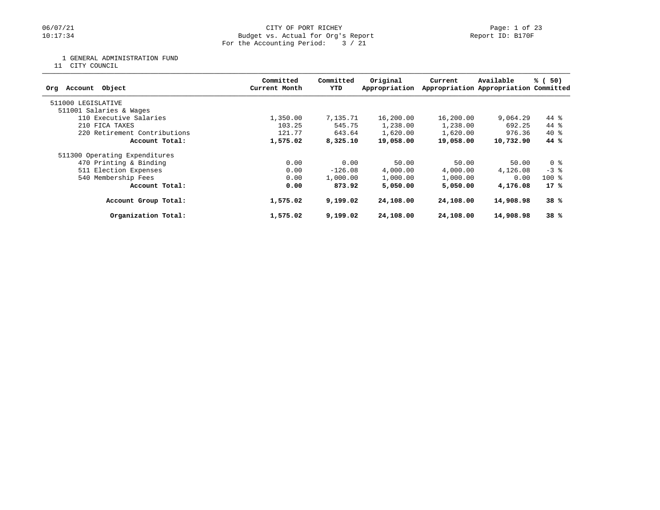## 06/07/21 CITY OF PORT RICHEY Page: 1 of 23<br>10:17:34 Budget vs. Actual for Org's Report Physics Report ID: B170F Budget vs. Actual for Org's Report For the Accounting Period: 3 / 21

1 GENERAL ADMINISTRATION FUND

11 CITY COUNCIL

| Committed<br>Current Month | Committed<br>YTD | Original<br>Appropriation | Current                                                                                                     | Available | % (50)                                                                                                            |
|----------------------------|------------------|---------------------------|-------------------------------------------------------------------------------------------------------------|-----------|-------------------------------------------------------------------------------------------------------------------|
|                            |                  |                           |                                                                                                             |           |                                                                                                                   |
|                            |                  |                           |                                                                                                             |           |                                                                                                                   |
| 1,350.00                   |                  | 16,200.00                 |                                                                                                             | 9,064.29  | 44 %                                                                                                              |
| 103.25                     |                  | 1,238.00                  | 1,238.00                                                                                                    | 692.25    | 44 %                                                                                                              |
| 121.77                     |                  | 1,620.00                  |                                                                                                             | 976.36    | $40*$                                                                                                             |
| 1,575.02                   |                  | 19,058.00                 |                                                                                                             | 10,732.90 | 44 %                                                                                                              |
|                            |                  |                           |                                                                                                             |           |                                                                                                                   |
| 0.00                       |                  | 50.00                     | 50.00                                                                                                       | 50.00     | 0 %                                                                                                               |
| 0.00                       |                  | 4,000.00                  | 4,000.00                                                                                                    | 4,126.08  | $-3$ $\frac{6}{9}$                                                                                                |
| 0.00                       |                  | 1,000.00                  | 1,000.00                                                                                                    | 0.00      | $100$ %                                                                                                           |
| 0.00                       |                  | 5,050,00                  |                                                                                                             | 4,176.08  | 17%                                                                                                               |
| 1,575.02                   |                  | 24,108.00                 |                                                                                                             | 14,908.98 | 38%                                                                                                               |
| 1,575.02                   |                  | 24,108.00                 |                                                                                                             | 14,908.98 | 38%                                                                                                               |
|                            |                  |                           | 7,135.71<br>545.75<br>643.64<br>8,325.10<br>0.00<br>$-126.08$<br>1,000.00<br>873.92<br>9,199.02<br>9,199.02 |           | Appropriation Appropriation Committed<br>16,200.00<br>1,620.00<br>19,058.00<br>5,050,00<br>24,108.00<br>24,108.00 |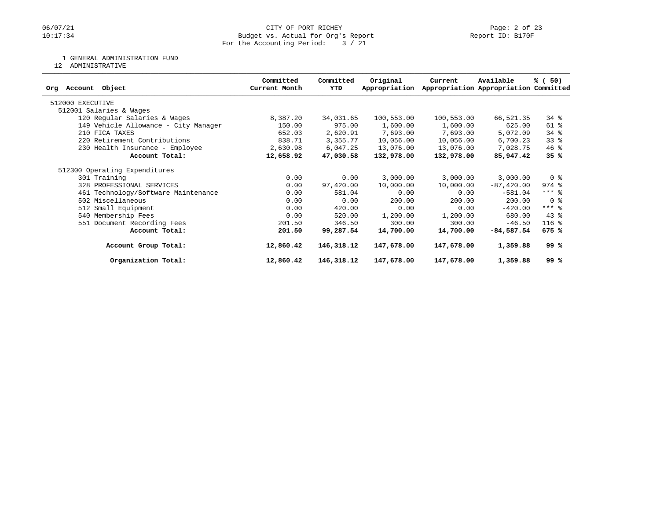## 06/07/21 CITY OF PORT RICHEY Page: 2 of 23<br>10:17:34 Budget vs. Actual for Org's Report Physics Report ID: B170F Budget vs. Actual for Org's Report For the Accounting Period: 3 / 21

#### 1 GENERAL ADMINISTRATION FUND

12 ADMINISTRATIVE

|                                      | Committed     | Committed  | Original      | Current    | Available                             | % (50)                  |
|--------------------------------------|---------------|------------|---------------|------------|---------------------------------------|-------------------------|
| Object<br>Account<br>Orq             | Current Month | YTD        | Appropriation |            | Appropriation Appropriation Committed |                         |
| 512000 EXECUTIVE                     |               |            |               |            |                                       |                         |
| 512001 Salaries & Wages              |               |            |               |            |                                       |                         |
| 120 Regular Salaries & Wages         | 8,387.20      | 34,031.65  | 100,553.00    | 100,553.00 | 66,521.35                             | 34 %                    |
| 149 Vehicle Allowance - City Manager | 150.00        | 975.00     | 1,600.00      | 1,600.00   | 625.00                                | 61 %                    |
| 210 FICA TAXES                       | 652.03        | 2,620.91   | 7,693.00      | 7,693.00   | 5,072.09                              | 34 %                    |
| 220 Retirement Contributions         | 838.71        | 3,355.77   | 10,056.00     | 10,056.00  | 6,700.23                              | $33$ $%$                |
| 230 Health Insurance - Employee      | 2,630.98      | 6,047.25   | 13,076.00     | 13,076.00  | 7,028.75                              | $46$ %                  |
| Account Total:                       | 12,658.92     | 47,030.58  | 132,978.00    | 132,978.00 | 85,947.42                             | 35%                     |
| 512300 Operating Expenditures        |               |            |               |            |                                       |                         |
| 301 Training                         | 0.00          | 0.00       | 3,000.00      | 3,000.00   | 3,000.00                              | 0 <sup>8</sup>          |
| 328 PROFESSIONAL SERVICES            | 0.00          | 97,420.00  | 10,000.00     | 10,000.00  | $-87, 420.00$                         | $974$ $%$               |
| 461 Technology/Software Maintenance  | 0.00          | 581.04     | 0.00          | 0.00       | $-581.04$                             | $***$ 8                 |
| 502 Miscellaneous                    | 0.00          | 0.00       | 200.00        | 200.00     | 200.00                                | $0 \text{ }$ $\text{*}$ |
| 512 Small Equipment                  | 0.00          | 420.00     | 0.00          | 0.00       | $-420.00$                             | $***$ 8                 |
| 540 Membership Fees                  | 0.00          | 520.00     | 1,200.00      | 1,200.00   | 680.00                                | 43 %                    |
| 551 Document Recording Fees          | 201.50        | 346.50     | 300.00        | 300.00     | $-46.50$                              | $116$ %                 |
| Account Total:                       | 201.50        | 99,287.54  | 14,700.00     | 14,700.00  | $-84,587.54$                          | 675 %                   |
| Account Group Total:                 | 12,860.42     | 146,318.12 | 147,678.00    | 147,678.00 | 1,359.88                              | 99 %                    |
| Organization Total:                  | 12,860.42     | 146,318.12 | 147,678.00    | 147,678.00 | 1,359.88                              | 99 %                    |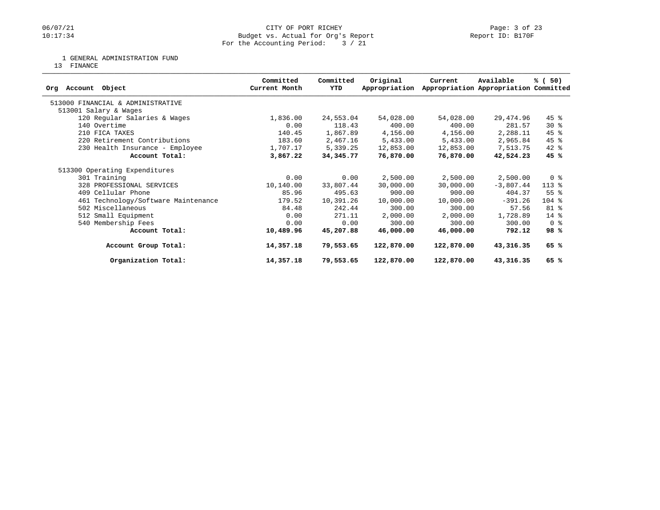## 06/07/21 CITY OF PORT RICHEY Page: 3 of 23<br>10:17:34 Budget vs. Actual for Org's Report Physics Report ID: B170F Budget vs. Actual for Org's Report For the Accounting Period: 3 / 21

1 GENERAL ADMINISTRATION FUND

13 FINANCE

| Object<br>Account<br>Orq            | Committed<br>Current Month | Committed<br>YTD | Original<br>Appropriation | Current    | Available<br>Appropriation Appropriation Committed | % (50)             |
|-------------------------------------|----------------------------|------------------|---------------------------|------------|----------------------------------------------------|--------------------|
| 513000 FINANCIAL & ADMINISTRATIVE   |                            |                  |                           |            |                                                    |                    |
| 513001 Salary & Wages               |                            |                  |                           |            |                                                    |                    |
| 120 Regular Salaries & Wages        | 1,836.00                   | 24,553.04        | 54,028.00                 | 54,028.00  | 29,474.96                                          | $45$ %             |
| 140 Overtime                        | 0.00                       | 118.43           | 400.00                    | 400.00     | 281.57                                             | $30*$              |
| 210 FICA TAXES                      | 140.45                     | 1,867.89         | 4,156.00                  | 4,156.00   | 2,288.11                                           | $45$ %             |
| 220 Retirement Contributions        | 183.60                     | 2,467.16         | 5,433.00                  | 5,433.00   | 2,965.84                                           | $45$ %             |
| 230 Health Insurance - Employee     | 1,707.17                   | 5,339.25         | 12,853.00                 | 12,853.00  | 7,513.75                                           | $42$ %             |
| Account Total:                      | 3,867.22                   | 34,345.77        | 76,870.00                 | 76,870.00  | 42,524.23                                          | 45 %               |
| 513300 Operating Expenditures       |                            |                  |                           |            |                                                    |                    |
| 301 Training                        | 0.00                       | 0.00             | 2,500.00                  | 2,500.00   | 2,500.00                                           | 0 <sup>8</sup>     |
| 328 PROFESSIONAL SERVICES           | 10,140.00                  | 33,807.44        | 30,000.00                 | 30,000.00  | $-3,807.44$                                        | $113*$             |
| 409 Cellular Phone                  | 85.96                      | 495.63           | 900.00                    | 900.00     | 404.37                                             | $55$ $\frac{6}{3}$ |
| 461 Technology/Software Maintenance | 179.52                     | 10,391.26        | 10,000.00                 | 10,000.00  | $-391.26$                                          | $104$ %            |
| 502 Miscellaneous                   | 84.48                      | 242.44           | 300.00                    | 300.00     | 57.56                                              | 81 %               |
| 512 Small Equipment                 | 0.00                       | 271.11           | 2,000.00                  | 2,000.00   | 1,728.89                                           | 14 %               |
| 540 Membership Fees                 | 0.00                       | 0.00             | 300.00                    | 300.00     | 300.00                                             | 0 <sup>8</sup>     |
| Account Total:                      | 10,489.96                  | 45,207.88        | 46,000.00                 | 46,000.00  | 792.12                                             | 98%                |
| Account Group Total:                | 14,357.18                  | 79,553.65        | 122,870.00                | 122,870.00 | 43,316.35                                          | 65 %               |
| Organization Total:                 | 14,357.18                  | 79,553.65        | 122,870.00                | 122,870.00 | 43,316.35                                          | 65 %               |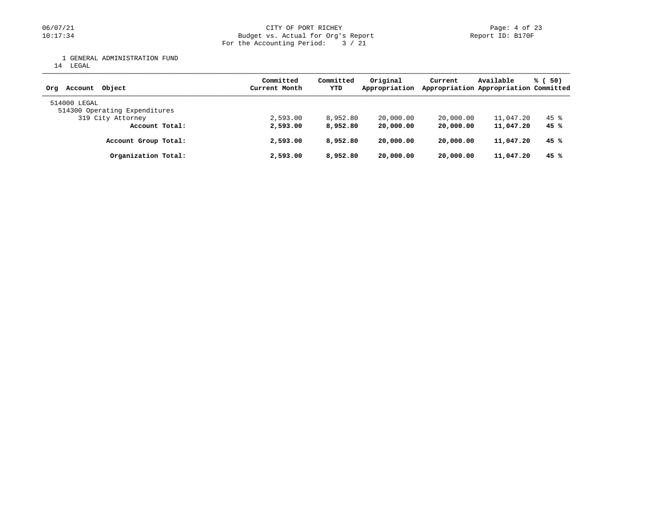1 GENERAL ADMINISTRATION FUND

14 LEGAL

| Account Object<br>Ora                         | Committed<br>Current Month | Committed<br>YTD | Original<br>Appropriation | Current   | Available<br>Appropriation Appropriation Committed | % (50) |
|-----------------------------------------------|----------------------------|------------------|---------------------------|-----------|----------------------------------------------------|--------|
| 514000 LEGAL<br>514300 Operating Expenditures |                            |                  |                           |           |                                                    |        |
| 319 City Attorney                             | 2,593.00                   | 8,952.80         | 20,000.00                 | 20,000.00 | 11,047.20                                          | 45 %   |
| Account Total:                                | 2,593.00                   | 8,952.80         | 20,000.00                 | 20,000,00 | 11,047.20                                          | 45 %   |
| Account Group Total:                          | 2,593.00                   | 8,952.80         | 20,000.00                 | 20,000.00 | 11,047.20                                          | 45 %   |
| Organization Total:                           | 2,593.00                   | 8,952.80         | 20,000.00                 | 20,000.00 | 11,047.20                                          | 45%    |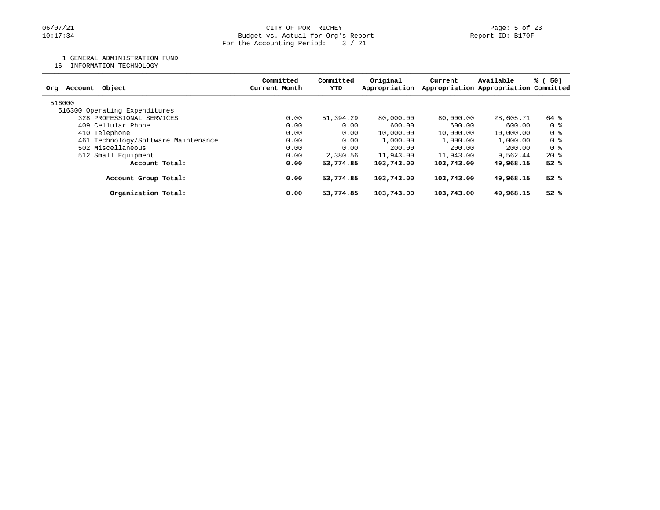1 GENERAL ADMINISTRATION FUND

16 INFORMATION TECHNOLOGY

| Committed<br>Current Month | Committed<br>YTD | Original<br>Appropriation | Current                                                                                      | Available | % (<br>50)                            |  |
|----------------------------|------------------|---------------------------|----------------------------------------------------------------------------------------------|-----------|---------------------------------------|--|
|                            |                  |                           |                                                                                              |           |                                       |  |
|                            |                  |                           |                                                                                              |           |                                       |  |
| 0.00                       |                  | 80,000,00                 | 80,000,00                                                                                    | 28,605.71 | 64 %                                  |  |
| 0.00                       |                  | 600.00                    | 600.00                                                                                       | 600.00    | 0 %                                   |  |
| 0.00                       |                  | 10,000.00                 | 10,000.00                                                                                    | 10,000.00 | 0 %                                   |  |
| 0.00                       |                  | 1,000.00                  | 1,000.00                                                                                     | 1,000.00  | 0 %                                   |  |
| 0.00                       |                  | 200.00                    | 200.00                                                                                       | 200.00    | 0 %                                   |  |
| 0.00                       |                  | 11,943.00                 | 11,943.00                                                                                    | 9,562.44  | $20*$                                 |  |
| 0.00                       |                  | 103,743.00                | 103,743.00                                                                                   | 49,968.15 | 52%                                   |  |
| 0.00                       |                  | 103,743.00                | 103,743.00                                                                                   | 49,968.15 | 52%                                   |  |
| 0.00                       |                  | 103,743.00                | 103,743.00                                                                                   | 49,968.15 | 52%                                   |  |
|                            |                  |                           | 51,394.29<br>0.00<br>0.00<br>0.00<br>0.00<br>2,380.56<br>53,774.85<br>53,774.85<br>53,774.85 |           | Appropriation Appropriation Committed |  |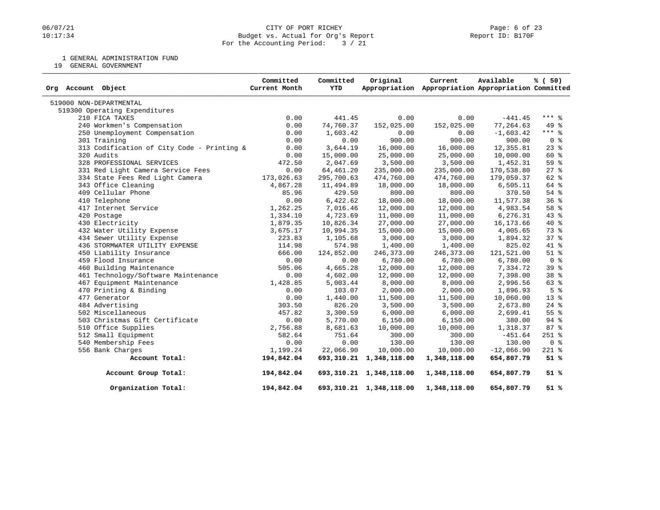### 06/07/21 CITY OF PORT RICHEY Page: 6 of 23<br>10:17:34 Dudget vs. Actual for Org's Report (Report ID: B170F Budget vs. Actual for Org's Report For the Accounting Period: 3 / 21

1 GENERAL ADMINISTRATION FUND

19 GENERAL GOVERNMENT

| Org Account Object                         | Committed<br>Current Month | Committed<br>YTD | Original                   | Current<br>Appropriation Appropriation Appropriation Committed | Available    | % (50)          |
|--------------------------------------------|----------------------------|------------------|----------------------------|----------------------------------------------------------------|--------------|-----------------|
| 519000 NON-DEPARTMENTAL                    |                            |                  |                            |                                                                |              |                 |
| 519300 Operating Expenditures              |                            |                  |                            |                                                                |              |                 |
| 210 FICA TAXES                             | 0.00                       | 441.45           | 0.00                       | 0.00                                                           | $-441.45$    | $***$ 8         |
| 240 Workmen's Compensation                 | 0.00                       | 74,760.37        | 152,025.00                 | 152,025.00                                                     | 77,264.63    | 49 %            |
| 250 Unemployment Compensation              | 0.00                       | 1,603.42         | 0.00                       | 0.00                                                           | $-1,603.42$  | $***$ $-$       |
| 301 Training                               | 0.00                       | 0.00             | 900.00                     | 900.00                                                         | 900.00       | 0 <sup>8</sup>  |
| 313 Codification of City Code - Printing & | 0.00                       | 3,644.19         | 16,000.00                  | 16,000.00                                                      | 12,355.81    | $23$ $%$        |
| 320 Audits                                 | 0.00                       | 15,000.00        | 25,000.00                  | 25,000.00                                                      | 10,000.00    | 60 %            |
| 328 PROFESSIONAL SERVICES                  | 472.50                     | 2,047.69         | 3,500.00                   | 3,500.00                                                       | 1,452.31     | 59 <sup>8</sup> |
| 331 Red Light Camera Service Fees          | 0.00                       | 64,461.20        | 235,000.00                 | 235,000.00                                                     | 170,538.80   | $27$ %          |
| 334 State Fees Red Light Camera            | 173,026.63                 | 295,700.63       | 474,760.00                 | 474,760.00                                                     | 179,059.37   | $62$ $%$        |
| 343 Office Cleaning                        | 4,867.28                   | 11,494.89        | 18,000.00                  | 18,000.00                                                      | 6,505.11     | 64 %            |
| 409 Cellular Phone                         | 85.96                      | 429.50           | 800.00                     | 800.00                                                         | 370.50       | 54%             |
| 410 Telephone                              | 0.00                       | 6,422.62         | 18,000.00                  | 18,000.00                                                      | 11,577.38    | 36%             |
| 417 Internet Service                       | 1,262.25                   | 7,016.46         | 12,000.00                  | 12,000.00                                                      | 4,983.54     | 58 <sup>8</sup> |
| 420 Postage                                | 1,334.10                   | 4,723.69         | 11,000.00                  | 11,000.00                                                      | 6,276.31     | $43*$           |
| 430 Electricity                            | 1,879.35                   | 10,826.34        | 27,000.00                  | 27,000.00                                                      | 16, 173.66   | $40*$           |
| 432 Water Utility Expense                  | 3,675.17                   | 10,994.35        | 15,000.00                  | 15,000.00                                                      | 4,005.65     | 73 %            |
| 434 Sewer Utility Expense                  | 223.83                     | 1,105.68         | 3,000.00                   | 3,000.00                                                       | 1,894.32     | 37%             |
| 436 STORMWATER UTILITY EXPENSE             | 114.98                     | 574.98           | 1,400.00                   | 1,400.00                                                       | 825.02       | 41 %            |
| 450 Liability Insurance                    | 666.00                     | 124,852.00       | 246,373.00                 | 246,373.00                                                     | 121,521.00   | $51$ %          |
| 459 Flood Insurance                        | 0.00                       | 0.00             | 6,780.00                   | 6,780.00                                                       | 6,780.00     | 0 <sup>8</sup>  |
| 460 Building Maintenance                   | 505.06                     | 4,665.28         | 12,000.00                  | 12,000.00                                                      | 7,334.72     | 39 %            |
| 461 Technology/Software Maintenance        | 0.00                       | 4,602.00         | 12,000.00                  | 12,000.00                                                      | 7,398.00     | 38 %            |
| 467 Equipment Maintenance                  | 1,428.85                   | 5,003.44         | 8,000.00                   | 8,000.00                                                       | 2,996.56     | 63 %            |
| 470 Printing & Binding                     | 0.00                       | 103.07           | 2,000.00                   | 2,000.00                                                       | 1,896.93     | 5 <sup>°</sup>  |
| 477 Generator                              | 0.00                       | 1,440.00         | 11,500.00                  | 11,500.00                                                      | 10,060.00    | $13*$           |
| 484 Advertising                            | 303.50                     | 826.20           | 3,500.00                   | 3,500.00                                                       | 2,673.80     | $24$ %          |
| 502 Miscellaneous                          | 457.82                     | 3,300.59         | 6,000.00                   | 6,000.00                                                       | 2,699.41     | 55 %            |
| 503 Christmas Gift Certificate             | 0.00                       | 5,770.00         | 6,150.00                   | 6,150.00                                                       | 380.00       | 94 %            |
| 510 Office Supplies                        | 2,756.88                   | 8,681.63         | 10,000.00                  | 10,000.00                                                      | 1,318.37     | 87%             |
| 512 Small Equipment                        | 582.64                     | 751.64           | 300.00                     | 300.00                                                         | $-451.64$    | $251$ $%$       |
| 540 Membership Fees                        | 0.00                       | 0.00             | 130.00                     | 130.00                                                         | 130.00       | 0 <sup>8</sup>  |
| 556 Bank Charges                           | 1,199.24                   | 22,066.90        | 10,000.00                  | 10,000.00                                                      | $-12,066.90$ | $221$ %         |
| Account Total:                             | 194,842.04                 | 693,310.21       | 1,348,118.00               | 1,348,118.00                                                   | 654,807.79   | 51%             |
| Account Group Total:                       | 194,842.04                 |                  | 693, 310.21 1, 348, 118.00 | 1,348,118.00                                                   | 654,807.79   | 51%             |
| Organization Total:                        | 194,842.04                 |                  | 693, 310.21 1, 348, 118.00 | 1,348,118.00                                                   | 654,807.79   | 51%             |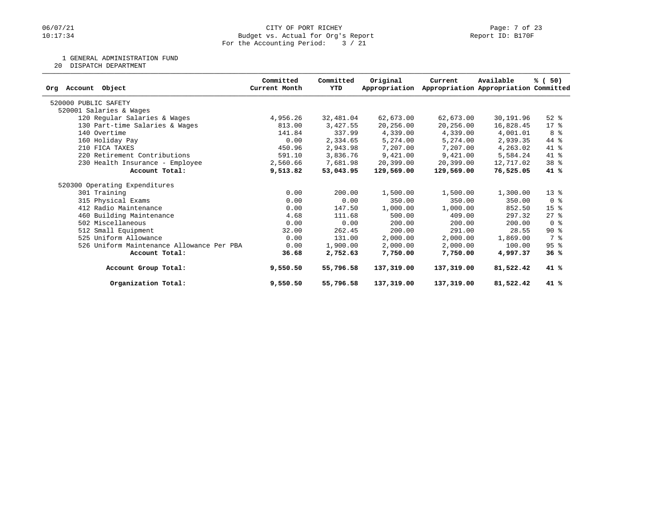1 GENERAL ADMINISTRATION FUND

20 DISPATCH DEPARTMENT

| Org Account<br>Object                     | Committed<br>Current Month | Committed<br>YTD | Original<br>Appropriation | Current    | Available<br>Appropriation Appropriation Committed | % (50)                             |
|-------------------------------------------|----------------------------|------------------|---------------------------|------------|----------------------------------------------------|------------------------------------|
|                                           |                            |                  |                           |            |                                                    |                                    |
| 520000 PUBLIC SAFETY                      |                            |                  |                           |            |                                                    |                                    |
| 520001 Salaries & Wages                   |                            |                  |                           |            |                                                    |                                    |
| 120 Regular Salaries & Wages              | 4,956.26                   | 32,481.04        | 62,673.00                 | 62,673.00  | 30,191.96                                          | $52$ $%$                           |
| 130 Part-time Salaries & Wages            | 813.00                     | 3,427.55         | 20,256.00                 | 20,256.00  | 16,828.45                                          | $17*$                              |
| 140 Overtime                              | 141.84                     | 337.99           | 4,339.00                  | 4,339.00   | 4,001.01                                           | 8 %                                |
| 160 Holiday Pay                           | 0.00                       | 2,334.65         | 5,274.00                  | 5,274.00   | 2,939.35                                           | 44 %                               |
| 210 FICA TAXES                            | 450.96                     | 2,943.98         | 7,207.00                  | 7,207.00   | 4,263.02                                           | 41 %                               |
| 220 Retirement Contributions              | 591.10                     | 3,836.76         | 9,421.00                  | 9,421.00   | 5,584.24                                           | 41 %                               |
| 230 Health Insurance - Employee           | 2,560.66                   | 7,681.98         | 20,399.00                 | 20,399.00  | 12,717.02                                          | 38 %                               |
| Account Total:                            | 9,513.82                   | 53,043.95        | 129,569.00                | 129,569.00 | 76,525.05                                          | 41 %                               |
| 520300 Operating Expenditures             |                            |                  |                           |            |                                                    |                                    |
| 301 Training                              | 0.00                       | 200.00           | 1,500.00                  | 1,500.00   | 1,300.00                                           | $13*$                              |
| 315 Physical Exams                        | 0.00                       | 0.00             | 350.00                    | 350.00     | 350.00                                             | $0 \text{ }$ $\text{ }$ $\text{ }$ |
| 412 Radio Maintenance                     | 0.00                       | 147.50           | 1,000.00                  | 1,000.00   | 852.50                                             | 15 <sup>°</sup>                    |
| 460 Building Maintenance                  | 4.68                       | 111.68           | 500.00                    | 409.00     | 297.32                                             | $27$ %                             |
| 502 Miscellaneous                         | 0.00                       | 0.00             | 200.00                    | 200.00     | 200.00                                             | $0 \text{ }$ $\text{ }$            |
| 512 Small Equipment                       | 32.00                      | 262.45           | 200.00                    | 291.00     | 28.55                                              | $90*$                              |
| 525 Uniform Allowance                     | 0.00                       | 131.00           | 2,000.00                  | 2,000.00   | 1,869.00                                           | 7 %                                |
| 526 Uniform Maintenance Allowance Per PBA | 0.00                       | 1,900.00         | 2,000.00                  | 2,000.00   | 100.00                                             | 95%                                |
| Account Total:                            | 36.68                      | 2,752.63         | 7,750.00                  | 7,750.00   | 4,997.37                                           | 36%                                |
| Account Group Total:                      | 9,550.50                   | 55,796.58        | 137,319.00                | 137,319.00 | 81,522.42                                          | $41*$                              |
| Organization Total:                       | 9,550.50                   | 55,796.58        | 137,319.00                | 137,319.00 | 81,522.42                                          | 41 %                               |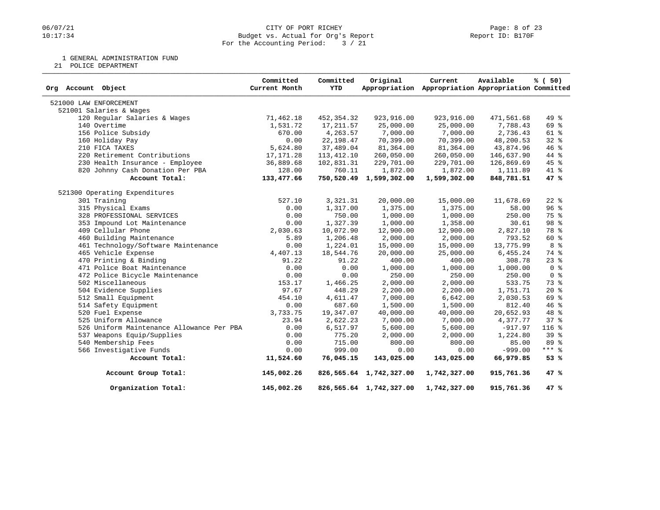### 06/07/21 CITY OF PORT RICHEY PAGE 23<br>10:17:34 Dudget vs. Actual for Org's Report (1999) Report ID: B170F Budget vs. Actual for Org's Report For the Accounting Period: 3 / 21

1 GENERAL ADMINISTRATION FUND

21 POLICE DEPARTMENT

| Org Account Object                        | Committed<br>Current Month | Committed<br>YTD | Original                | Current<br>Appropriation Appropriation Appropriation Committed | Available  | % (50)          |
|-------------------------------------------|----------------------------|------------------|-------------------------|----------------------------------------------------------------|------------|-----------------|
| 521000 LAW ENFORCEMENT                    |                            |                  |                         |                                                                |            |                 |
| 521001 Salaries & Wages                   |                            |                  |                         |                                                                |            |                 |
| 120 Regular Salaries & Wages              | 71,462.18                  | 452,354.32       | 923,916.00              | 923,916.00                                                     | 471,561.68 | 49 %            |
| 140 Overtime                              | 1,531.72                   | 17,211.57        | 25,000.00               | 25,000.00                                                      | 7,788.43   | 69 %            |
| 156 Police Subsidy                        | 670.00                     | 4,263.57         | 7,000.00                | 7,000.00                                                       | 2,736.43   | $61$ $%$        |
| 160 Holiday Pay                           | 0.00                       | 22, 198.47       | 70,399.00               | 70,399.00                                                      | 48,200.53  | $32$ $%$        |
| 210 FICA TAXES                            | 5,624.80                   | 37,489.04        | 81,364.00               | 81,364.00                                                      | 43,874.96  | 46 %            |
| 220 Retirement Contributions              | 17, 171.28                 | 113,412.10       | 260,050.00              | 260,050.00                                                     | 146,637.90 | 44 %            |
| 230 Health Insurance - Employee           | 36,889.68                  | 102,831.31       | 229,701.00              | 229,701.00                                                     | 126,869.69 | $45$ %          |
| 820 Johnny Cash Donation Per PBA          | 128.00                     | 760.11           | 1,872.00                | 1,872.00                                                       | 1,111.89   | $41*$           |
| Account Total:                            | 133,477.66                 |                  | 750,520.49 1,599,302.00 | 1,599,302.00                                                   | 848,781.51 | 47 %            |
| 521300 Operating Expenditures             |                            |                  |                         |                                                                |            |                 |
| 301 Training                              | 527.10                     | 3,321.31         | 20,000.00               | 15,000.00                                                      | 11,678.69  | $22$ $%$        |
| 315 Physical Exams                        | 0.00                       | 1,317.00         | 1,375.00                | 1,375.00                                                       | 58.00      | 96 <sup>8</sup> |
| 328 PROFESSIONAL SERVICES                 | 0.00                       | 750.00           | 1,000.00                | 1,000.00                                                       | 250.00     | 75 %            |
| 353 Impound Lot Maintenance               | 0.00                       | 1,327.39         | 1,000.00                | 1,358.00                                                       | 30.61      | 98 %            |
| 409 Cellular Phone                        | 2,030.63                   | 10,072.90        | 12,900.00               | 12,900.00                                                      | 2,827.10   | 78 %            |
| 460 Building Maintenance                  | 5.89                       | 1,206.48         | 2,000.00                | 2,000.00                                                       | 793.52     | 60 %            |
| 461 Technology/Software Maintenance       | 0.00                       | 1,224.01         | 15,000.00               | 15,000.00                                                      | 13,775.99  | 8 %             |
| 465 Vehicle Expense                       | 4,407.13                   | 18,544.76        | 20,000.00               | 25,000.00                                                      | 6,455.24   | 74 %            |
| 470 Printing & Binding                    | 91.22                      | 91.22            | 400.00                  | 400.00                                                         | 308.78     | $23$ $%$        |
| 471 Police Boat Maintenance               | 0.00                       | 0.00             | 1,000.00                | 1,000.00                                                       | 1,000.00   | 0 <sup>8</sup>  |
| 472 Police Bicycle Maintenance            | 0.00                       | 0.00             | 250.00                  | 250.00                                                         | 250.00     | 0 <sup>8</sup>  |
| 502 Miscellaneous                         | 153.17                     | 1,466.25         | 2,000.00                | 2,000.00                                                       | 533.75     | 73 %            |
| 504 Evidence Supplies                     | 97.67                      | 448.29           | 2,200.00                | 2,200.00                                                       | 1,751.71   | $20*$           |
| 512 Small Equipment                       | 454.10                     | 4,611.47         | 7,000.00                | 6,642.00                                                       | 2,030.53   | 69 %            |
| 514 Safety Equipment                      | 0.00                       | 687.60           | 1,500.00                | 1,500.00                                                       | 812.40     | 46%             |
| 520 Fuel Expense                          | 3,733.75                   | 19,347.07        | 40,000.00               | 40,000.00                                                      | 20,652.93  | 48 %            |
| 525 Uniform Allowance                     | 23.94                      | 2,622.23         | 7,000.00                | 7,000.00                                                       | 4,377.77   | 37%             |
| 526 Uniform Maintenance Allowance Per PBA | 0.00                       | 6,517.97         | 5,600.00                | 5,600.00                                                       | $-917.97$  | 116 %           |
| 537 Weapons Equip/Supplies                | 0.00                       | 775.20           | 2,000.00                | 2,000.00                                                       | 1,224.80   | 39 <sup>8</sup> |
| 540 Membership Fees                       | 0.00                       | 715.00           | 800.00                  | 800.00                                                         | 85.00      | $89*$           |
| 566 Investigative Funds                   | 0.00                       | 999.00           | 0.00                    | 0.00                                                           | $-999.00$  | $***$ 8         |
| Account Total:                            | 11,524.60                  | 76,045.15        | 143,025.00              | 143,025.00                                                     | 66,979.85  | 53%             |
| Account Group Total:                      | 145,002.26                 |                  | 826,565.64 1,742,327.00 | 1,742,327.00                                                   | 915,761.36 | 47%             |
| Organization Total:                       | 145,002.26                 |                  | 826,565.64 1,742,327.00 | 1,742,327.00                                                   | 915,761.36 | 47%             |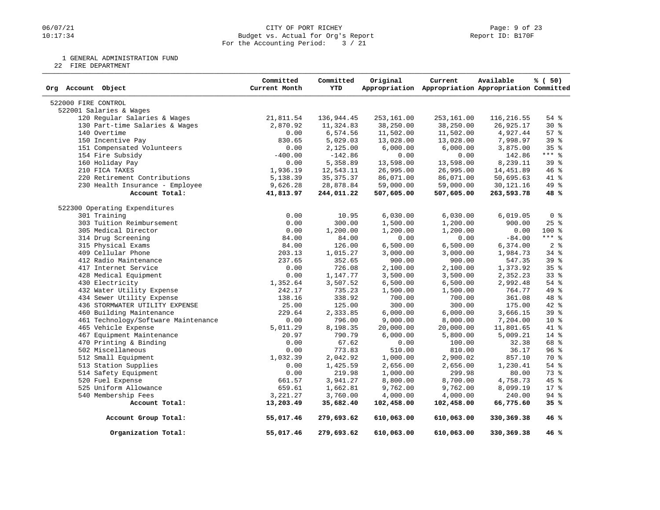### 06/07/21 CITY OF PORT RICHEY PAGE 23<br>10:17:34 Dudget vs. Actual for Org's Report (1999) Report ID: B170F Budget vs. Actual for Org's Report For the Accounting Period: 3 / 21

1 GENERAL ADMINISTRATION FUND

22 FIRE DEPARTMENT

| Org Account Object                  | Committed<br>Current Month | Committed<br><b>YTD</b> | Original   | Current<br>Appropriation Appropriation Appropriation Committed | Available    | % (50)          |
|-------------------------------------|----------------------------|-------------------------|------------|----------------------------------------------------------------|--------------|-----------------|
| 522000 FIRE CONTROL                 |                            |                         |            |                                                                |              |                 |
| 522001 Salaries & Wages             |                            |                         |            |                                                                |              |                 |
| 120 Regular Salaries & Wages        | 21,811.54                  | 136,944.45              | 253,161.00 | 253,161.00                                                     | 116,216.55   | $54$ %          |
| 130 Part-time Salaries & Wages      | 2,870.92                   | 11,324.83               | 38,250.00  | 38,250.00                                                      | 26,925.17    | $30*$           |
| 140 Overtime                        | 0.00                       | 6,574.56                | 11,502.00  | 11,502.00                                                      | 4,927.44     | 57%             |
| 150 Incentive Pay                   | 830.65                     | 5,029.03                | 13,028.00  | 13,028.00                                                      | 7,998.97     | 39 <sup>8</sup> |
| 151 Compensated Volunteers          | 0.00                       | 2,125.00                | 6,000.00   | 6,000.00                                                       | 3,875.00     | 35%             |
| 154 Fire Subsidy                    | $-400.00$                  | $-142.86$               | 0.00       | 0.00                                                           | 142.86       | $***$ $%$       |
| 160 Holiday Pay                     | 0.00                       | 5,358.89                | 13,598.00  | 13,598.00                                                      | 8,239.11     | 39 %            |
| 210 FICA TAXES                      | 1,936.19                   | 12,543.11               | 26,995.00  | 26,995.00                                                      | 14,451.89    | 46%             |
| 220 Retirement Contributions        | 5,138.39                   | 35, 375. 37             | 86,071.00  | 86,071.00                                                      | 50,695.63    | 41 %            |
| 230 Health Insurance - Employee     | 9,626.28                   | 28,878.84               | 59,000.00  | 59,000.00                                                      | 30, 121. 16  | 49 %            |
| Account Total:                      | 41,813.97                  | 244,011.22              | 507,605.00 | 507,605.00                                                     | 263,593.78   | 48 %            |
| 522300 Operating Expenditures       |                            |                         |            |                                                                |              |                 |
| 301 Training                        | 0.00                       | 10.95                   | 6,030.00   | 6,030.00                                                       | 6,019.05     | 0 <sup>8</sup>  |
| 303 Tuition Reimbursement           | 0.00                       | 300.00                  | 1,500.00   | 1,200.00                                                       | 900.00       | 25%             |
| 305 Medical Director                | 0.00                       | 1,200.00                | 1,200.00   | 1,200.00                                                       | 0.00         | $100*$          |
| 314 Drug Screening                  | 84.00                      | 84.00                   | 0.00       | 0.00                                                           | $-84.00$     | $***$ $%$       |
| 315 Physical Exams                  | 84.00                      | 126.00                  | 6,500.00   | 6,500.00                                                       | 6,374.00     | 2 <sup>°</sup>  |
| 409 Cellular Phone                  | 203.13                     | 1,015.27                | 3,000.00   | 3,000.00                                                       | 1,984.73     | $34$ $%$        |
| 412 Radio Maintenance               | 237.65                     | 352.65                  | 900.00     | 900.00                                                         | 547.35       | 39 <sup>8</sup> |
| 417 Internet Service                | 0.00                       | 726.08                  | 2,100.00   | 2,100.00                                                       | 1,373.92     | 35 <sup>8</sup> |
| 428 Medical Equipment               | 0.00                       | 1,147.77                | 3,500.00   | 3,500.00                                                       | 2,352.23     | 33%             |
| 430 Electricity                     | 1,352.64                   | 3,507.52                | 6,500.00   | 6,500.00                                                       | 2,992.48     | $54$ $%$        |
| 432 Water Utility Expense           | 242.17                     | 735.23                  | 1,500.00   | 1,500.00                                                       | 764.77       | 49 %            |
| 434 Sewer Utility Expense           | 138.16                     | 338.92                  | 700.00     | 700.00                                                         | 361.08       | 48 %            |
| 436 STORMWATER UTILITY EXPENSE      | 25.00                      | 125.00                  | 300.00     | 300.00                                                         | 175.00       | $42$ %          |
| 460 Building Maintenance            | 229.64                     | 2,333.85                | 6,000.00   | 6,000.00                                                       | 3,666.15     | 39 %            |
| 461 Technology/Software Maintenance | 0.00                       | 796.00                  | 9,000.00   | 8,000.00                                                       | 7,204.00     | $10*$           |
| 465 Vehicle Expense                 | 5,011.29                   | 8,198.35                | 20,000.00  | 20,000.00                                                      | 11,801.65    | 41 %            |
| 467 Equipment Maintenance           | 20.97                      | 790.79                  | 6,000.00   | 5,800.00                                                       | 5,009.21     | 14 %            |
| 470 Printing & Binding              | 0.00                       | 67.62                   | 0.00       | 100.00                                                         | 32.38        | 68 %            |
| 502 Miscellaneous                   | 0.00                       | 773.83                  | 510.00     | 810.00                                                         | 36.17        | 96%             |
| 512 Small Equipment                 | 1,032.39                   | 2,042.92                | 1,000.00   | 2,900.02                                                       | 857.10       | 70 %            |
| 513 Station Supplies                | 0.00                       | 1,425.59                | 2,656.00   | 2,656.00                                                       | 1,230.41     | $54$ $%$        |
| 514 Safety Equipment                | 0.00                       | 219.98                  | 1,000.00   | 299.98                                                         | 80.00        | 73%             |
| 520 Fuel Expense                    | 661.57                     | 3,941.27                | 8,800.00   | 8,700.00                                                       | 4,758.73     | $45$ %          |
| 525 Uniform Allowance               | 659.61                     | 1,662.81                | 9,762.00   | 9,762.00                                                       | 8,099.19     | 17 %            |
| 540 Membership Fees                 | 3, 221. 27                 | 3,760.00                | 4,000.00   | 4,000.00                                                       | 240.00       | $94$ %          |
| Account Total:                      | 13,203.49                  | 35,682.40               | 102,458.00 | 102,458.00                                                     | 66,775.60    | 35%             |
| Account Group Total:                | 55,017.46                  | 279,693.62              | 610,063.00 | 610,063.00                                                     | 330,369.38   | 46%             |
| Organization Total:                 | 55,017.46                  | 279,693.62              | 610,063.00 | 610,063.00                                                     | 330, 369. 38 | 46%             |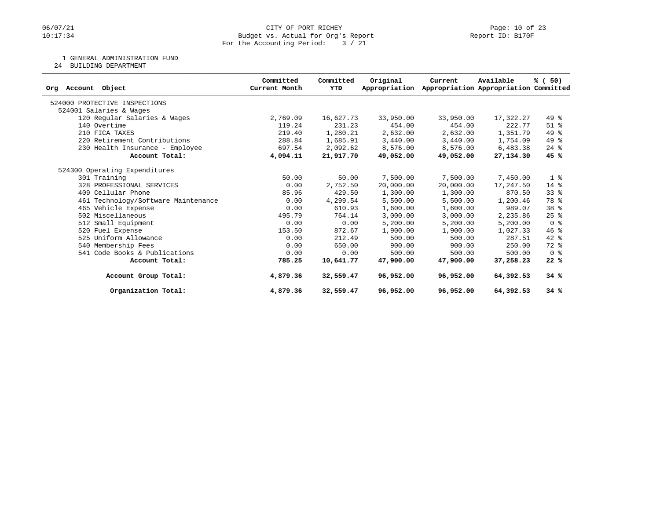### 06/07/21 CITY OF PORT RICHEY Page: 10 of 23<br>10:17:34 Budget vs. Actual for Org's Report Peport Peport ID: B170F Budget vs. Actual for Org's Report For the Accounting Period: 3 / 21

1 GENERAL ADMINISTRATION FUND

24 BUILDING DEPARTMENT

|                                     | Committed     | Committed | Original      | Current   | Available                             | % (50)         |
|-------------------------------------|---------------|-----------|---------------|-----------|---------------------------------------|----------------|
| Org Account Object                  | Current Month | YTD       | Appropriation |           | Appropriation Appropriation Committed |                |
| 524000 PROTECTIVE INSPECTIONS       |               |           |               |           |                                       |                |
| 524001 Salaries & Wages             |               |           |               |           |                                       |                |
| 120 Regular Salaries & Wages        | 2,769.09      | 16,627.73 | 33,950.00     | 33,950.00 | 17,322.27                             | 49 %           |
| 140 Overtime                        | 119.24        | 231.23    | 454.00        | 454.00    | 222.77                                | $51$ $%$       |
| 210 FICA TAXES                      | 219.40        | 1,280.21  | 2,632.00      | 2,632.00  | 1,351.79                              | 49 %           |
| 220 Retirement Contributions        | 288.84        | 1,685.91  | 3,440.00      | 3,440.00  | 1,754.09                              | 49 %           |
| 230 Health Insurance - Employee     | 697.54        | 2,092.62  | 8,576.00      | 8,576.00  | 6,483.38                              | $24$ %         |
| Account Total:                      | 4,094.11      | 21,917.70 | 49,052.00     | 49,052.00 | 27,134.30                             | 45 %           |
| 524300 Operating Expenditures       |               |           |               |           |                                       |                |
| 301 Training                        | 50.00         | 50.00     | 7,500.00      | 7,500.00  | 7,450.00                              | 1 <sup>8</sup> |
| 328 PROFESSIONAL SERVICES           | 0.00          | 2,752.50  | 20,000.00     | 20,000.00 | 17,247.50                             | $14*$          |
| 409 Cellular Phone                  | 85.96         | 429.50    | 1,300.00      | 1,300.00  | 870.50                                | 338            |
| 461 Technology/Software Maintenance | 0.00          | 4,299.54  | 5,500.00      | 5,500.00  | 1,200.46                              | 78 %           |
| 465 Vehicle Expense                 | 0.00          | 610.93    | 1,600.00      | 1,600.00  | 989.07                                | 38 %           |
| 502 Miscellaneous                   | 495.79        | 764.14    | 3,000.00      | 3,000.00  | 2,235.86                              | 25%            |
| 512 Small Equipment                 | 0.00          | 0.00      | 5,200.00      | 5,200.00  | 5,200.00                              | 0 <sup>8</sup> |
| 520 Fuel Expense                    | 153.50        | 872.67    | 1,900.00      | 1,900.00  | 1,027.33                              | 46%            |
| 525 Uniform Allowance               | 0.00          | 212.49    | 500.00        | 500.00    | 287.51                                | $42*$          |
| 540 Membership Fees                 | 0.00          | 650.00    | 900.00        | 900.00    | 250.00                                | 72 %           |
| 541 Code Books & Publications       | 0.00          | 0.00      | 500.00        | 500.00    | 500.00                                | 0 <sup>8</sup> |
| Account Total:                      | 785.25        | 10,641.77 | 47,900.00     | 47,900.00 | 37,258.23                             | 22%            |
| Account Group Total:                | 4,879.36      | 32,559.47 | 96,952.00     | 96,952.00 | 64,392.53                             | 34%            |
| Organization Total:                 | 4,879.36      | 32,559.47 | 96,952.00     | 96,952.00 | 64,392.53                             | 34%            |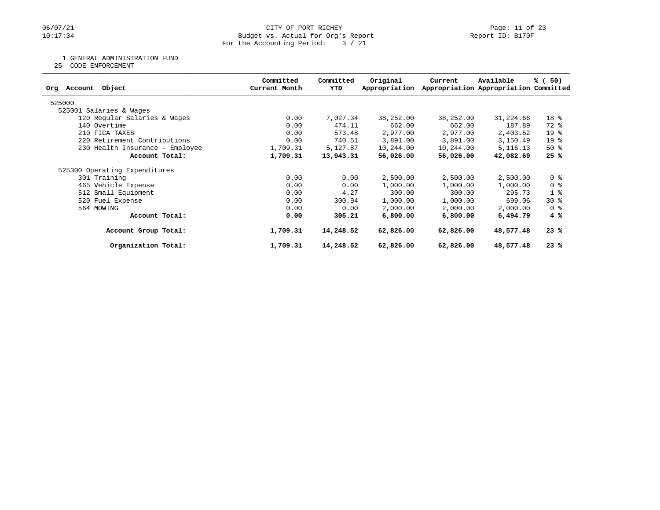### 06/07/21 CITY OF PORT RICHEY Page: 11 of 23<br>10:17:34 Budget vs. Actual for Org's Report Peport Peport ID: B170F Budget vs. Actual for Org's Report For the Accounting Period: 3 / 21

1 GENERAL ADMINISTRATION FUND

25 CODE ENFORCEMENT

| Object<br>Account<br>Orq        | Committed<br>Current Month | Committed<br>YTD | Original<br>Appropriation | Current   | Available<br>Appropriation Appropriation Committed | % (50)          |
|---------------------------------|----------------------------|------------------|---------------------------|-----------|----------------------------------------------------|-----------------|
| 525000                          |                            |                  |                           |           |                                                    |                 |
| 525001 Salaries & Wages         |                            |                  |                           |           |                                                    |                 |
| 120 Regular Salaries & Wages    | 0.00                       | 7,027.34         | 38,252.00                 | 38,252.00 | 31,224.66                                          | 18 %            |
| 140 Overtime                    | 0.00                       | 474.11           | 662.00                    | 662.00    | 187.89                                             | 72 %            |
| 210 FICA TAXES                  | 0.00                       | 573.48           | 2,977.00                  | 2,977.00  | 2,403.52                                           | 19 <sup>°</sup> |
| 220 Retirement Contributions    | 0.00                       | 740.51           | 3,891.00                  | 3,891.00  | 3,150.49                                           | 19 <sup>°</sup> |
| 230 Health Insurance - Employee | 1,709.31                   | 5,127.87         | 10,244.00                 | 10,244.00 | 5, 116. 13                                         | 50%             |
| Account Total:                  | 1,709.31                   | 13,943.31        | 56,026.00                 | 56,026.00 | 42,082.69                                          | 25%             |
| 525300 Operating Expenditures   |                            |                  |                           |           |                                                    |                 |
| 301 Training                    | 0.00                       | 0.00             | 2,500.00                  | 2,500.00  | 2,500.00                                           | 0 <sup>8</sup>  |
| 465 Vehicle Expense             | 0.00                       | 0.00             | 1,000.00                  | 1,000.00  | 1,000.00                                           | 0 %             |
| 512 Small Equipment             | 0.00                       | 4.27             | 300.00                    | 300.00    | 295.73                                             | 1 <sub>8</sub>  |
| 520 Fuel Expense                | 0.00                       | 300.94           | 1,000.00                  | 1,000.00  | 699.06                                             | $30*$           |
| 564 MOWING                      | 0.00                       | 0.00             | 2,000.00                  | 2,000.00  | 2,000.00                                           | 0 %             |
| Account Total:                  | 0.00                       | 305.21           | 6,800.00                  | 6,800.00  | 6,494.79                                           | $4 \text{ }$    |
| Account Group Total:            | 1,709.31                   | 14,248.52        | 62,826.00                 | 62,826.00 | 48,577.48                                          | 23%             |
| Organization Total:             | 1,709.31                   | 14,248.52        | 62,826.00                 | 62,826.00 | 48,577.48                                          | 23%             |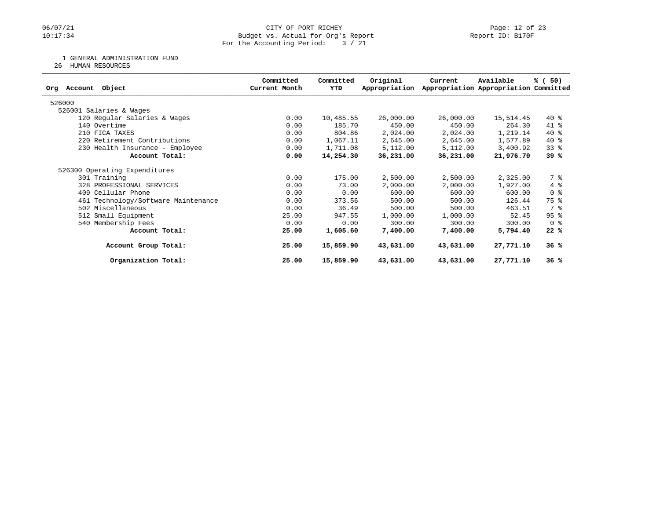### 06/07/21 CITY OF PORT RICHEY Page: 12 of 23<br>10:17:34 Budget vs. Actual for Org's Report Peport Peport ID: B170F Budget vs. Actual for Org's Report For the Accounting Period: 3 / 21

1 GENERAL ADMINISTRATION FUND

26 HUMAN RESOURCES

| Object<br>Account<br>Orq            | Committed<br>Current Month | Committed<br>YTD | Original<br>Appropriation | Current   | Available<br>Appropriation Appropriation Committed | % (50)         |
|-------------------------------------|----------------------------|------------------|---------------------------|-----------|----------------------------------------------------|----------------|
| 526000                              |                            |                  |                           |           |                                                    |                |
| 526001 Salaries & Wages             |                            |                  |                           |           |                                                    |                |
| 120 Regular Salaries & Wages        | 0.00                       | 10,485.55        | 26,000.00                 | 26,000.00 | 15,514.45                                          | $40*$          |
| 140 Overtime                        | 0.00                       | 185.70           | 450.00                    | 450.00    | 264.30                                             | $41*$          |
| 210 FICA TAXES                      | 0.00                       | 804.86           | 2,024.00                  | 2,024.00  | 1,219.14                                           | $40*$          |
| 220 Retirement Contributions        | 0.00                       | 1,067.11         | 2,645.00                  | 2,645.00  | 1,577.89                                           | $40*$          |
| 230 Health Insurance - Employee     | 0.00                       | 1,711.08         | 5,112.00                  | 5,112.00  | 3,400.92                                           | $33$ $%$       |
| Account Total:                      | 0.00                       | 14,254.30        | 36,231.00                 | 36,231.00 | 21,976.70                                          | 39 %           |
| 526300 Operating Expenditures       |                            |                  |                           |           |                                                    |                |
| 301 Training                        | 0.00                       | 175.00           | 2,500.00                  | 2,500.00  | 2,325.00                                           | 7 %            |
| 328 PROFESSIONAL SERVICES           | 0.00                       | 73.00            | 2,000.00                  | 2,000.00  | 1,927.00                                           | $4\degree$     |
| 409 Cellular Phone                  | 0.00                       | 0.00             | 600.00                    | 600.00    | 600.00                                             | 0 <sup>8</sup> |
| 461 Technology/Software Maintenance | 0.00                       | 373.56           | 500.00                    | 500.00    | 126.44                                             | 75 %           |
| 502 Miscellaneous                   | 0.00                       | 36.49            | 500.00                    | 500.00    | 463.51                                             | 7 %            |
| 512 Small Equipment                 | 25.00                      | 947.55           | 1,000.00                  | 1,000.00  | 52.45                                              | 95%            |
| 540 Membership Fees                 | 0.00                       | 0.00             | 300.00                    | 300.00    | 300.00                                             | 0 <sub>8</sub> |
| Account Total:                      | 25.00                      | 1,605.60         | 7,400.00                  | 7,400.00  | 5,794.40                                           | 22%            |
| Account Group Total:                | 25.00                      | 15,859.90        | 43,631.00                 | 43,631.00 | 27,771.10                                          | 36%            |
| Organization Total:                 | 25.00                      | 15,859.90        | 43,631.00                 | 43,631.00 | 27,771.10                                          | 36%            |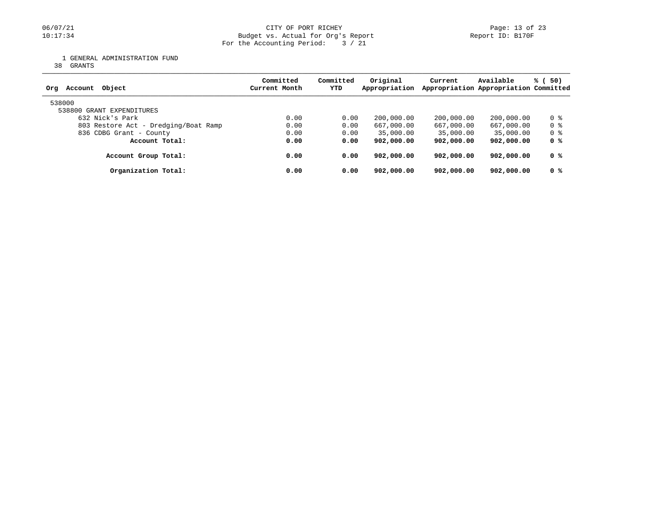### 06/07/21 CITY OF PORT RICHEY Page: 13 of 23<br>10:17:34 Budget vs. Actual for Org's Report Port Report ID: B170F Budget vs. Actual for Org's Report For the Accounting Period: 3 / 21

1 GENERAL ADMINISTRATION FUND

38 GRANTS

| Object<br>Account<br>Ora             | Committed<br>Current Month | Committed<br>YTD | Original<br>Appropriation | Current    | Available<br>Appropriation Appropriation Committed | % (50) |
|--------------------------------------|----------------------------|------------------|---------------------------|------------|----------------------------------------------------|--------|
| 538000<br>538800 GRANT EXPENDITURES  |                            |                  |                           |            |                                                    |        |
| 632 Nick's Park                      | 0.00                       | 0.00             | 200,000.00                | 200,000.00 | 200,000.00                                         | 0 %    |
| 803 Restore Act - Dredging/Boat Ramp | 0.00                       | 0.00             | 667,000.00                | 667,000.00 | 667,000.00                                         | 0 %    |
| 836 CDBG Grant - County              | 0.00                       | 0.00             | 35,000.00                 | 35,000.00  | 35,000.00                                          | 0 %    |
| Account Total:                       | 0.00                       | 0.00             | 902,000.00                | 902,000.00 | 902,000.00                                         | 0 %    |
| Account Group Total:                 | 0.00                       | 0.00             | 902,000.00                | 902,000.00 | 902,000.00                                         | 0 %    |
| Organization Total:                  | 0.00                       | 0.00             | 902,000,00                | 902,000.00 | 902,000.00                                         | 0 %    |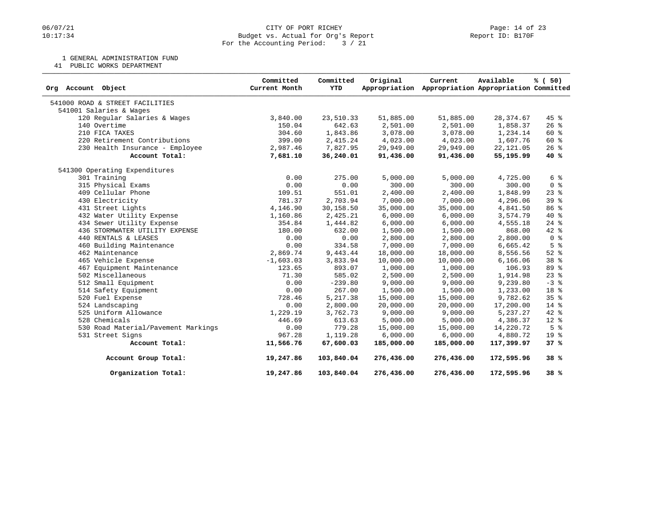### 06/07/21 CITY OF PORT RICHEY Page: 14 of 23<br>
Budget vs. Actual for Org's Report Port 10: B170F Port ID: B170F Budget vs. Actual for Org's Report For the Accounting Period: 3 / 21

1 GENERAL ADMINISTRATION FUND

41 PUBLIC WORKS DEPARTMENT

| Object<br>Org Account               | Committed<br>Current Month | Committed<br><b>YTD</b> | Original<br>Appropriation | Current<br>Appropriation Appropriation Committed | Available  | % (50)          |
|-------------------------------------|----------------------------|-------------------------|---------------------------|--------------------------------------------------|------------|-----------------|
| 541000 ROAD & STREET FACILITIES     |                            |                         |                           |                                                  |            |                 |
| 541001 Salaries & Wages             |                            |                         |                           |                                                  |            |                 |
| 120 Regular Salaries & Wages        | 3,840.00                   | 23,510.33               | 51,885.00                 | 51,885.00                                        | 28, 374.67 | $45$ %          |
| 140 Overtime                        | 150.04                     | 642.63                  | 2,501.00                  | 2,501.00                                         | 1,858.37   | $26$ %          |
| 210 FICA TAXES                      | 304.60                     | 1,843.86                | 3,078.00                  | 3,078.00                                         | 1,234.14   | 60 %            |
| 220 Retirement Contributions        | 399.00                     | 2,415.24                | 4,023.00                  | 4,023.00                                         | 1,607.76   | 60 %            |
| 230 Health Insurance - Employee     | 2,987.46                   | 7,827.95                | 29,949.00                 | 29,949.00                                        | 22, 121.05 | $26$ %          |
| Account Total:                      | 7,681.10                   | 36,240.01               | 91,436.00                 | 91,436.00                                        | 55,195.99  | 40%             |
| 541300 Operating Expenditures       |                            |                         |                           |                                                  |            |                 |
| 301 Training                        | 0.00                       | 275.00                  | 5,000.00                  | 5,000.00                                         | 4,725.00   | 6 %             |
| 315 Physical Exams                  | 0.00                       | 0.00                    | 300.00                    | 300.00                                           | 300.00     | 0 <sup>8</sup>  |
| 409 Cellular Phone                  | 109.51                     | 551.01                  | 2,400.00                  | 2,400.00                                         | 1,848.99   | $23$ $%$        |
| 430 Electricity                     | 781.37                     | 2,703.94                | 7,000.00                  | 7,000.00                                         | 4,296.06   | 39%             |
| 431 Street Lights                   | 4,146.90                   | 30,158.50               | 35,000.00                 | 35,000.00                                        | 4,841.50   | 86 %            |
| 432 Water Utility Expense           | 1,160.86                   | 2,425.21                | 6,000.00                  | 6,000.00                                         | 3,574.79   | 40 %            |
| 434 Sewer Utility Expense           | 354.84                     | 1,444.82                | 6,000.00                  | 6,000.00                                         | 4,555.18   | $24$ %          |
| 436 STORMWATER UTILITY EXPENSE      | 180.00                     | 632.00                  | 1,500.00                  | 1,500.00                                         | 868.00     | $42*$           |
| 440 RENTALS & LEASES                | 0.00                       | 0.00                    | 2,800.00                  | 2,800.00                                         | 2,800.00   | 0 <sup>8</sup>  |
| 460 Building Maintenance            | 0.00                       | 334.58                  | 7,000.00                  | 7,000.00                                         | 6,665.42   | 5 <sup>8</sup>  |
| 462 Maintenance                     | 2,869.74                   | 9,443.44                | 18,000.00                 | 18,000.00                                        | 8,556.56   | $52$ $%$        |
| 465 Vehicle Expense                 | $-1,603.03$                | 3,833.94                | 10,000.00                 | 10,000.00                                        | 6,166.06   | 38 %            |
| 467 Equipment Maintenance           | 123.65                     | 893.07                  | 1,000.00                  | 1,000.00                                         | 106.93     | 89 %            |
| 502 Miscellaneous                   | 71.30                      | 585.02                  | 2,500.00                  | 2,500.00                                         | 1,914.98   | $23$ $%$        |
| 512 Small Equipment                 | 0.00                       | $-239.80$               | 9,000.00                  | 9,000.00                                         | 9,239.80   | $-3$ $%$        |
| 514 Safety Equipment                | 0.00                       | 267.00                  | 1,500.00                  | 1,500.00                                         | 1,233.00   | 18 %            |
| 520 Fuel Expense                    | 728.46                     | 5, 217.38               | 15,000.00                 | 15,000.00                                        | 9,782.62   | 35 <sup>8</sup> |
| 524 Landscaping                     | 0.00                       | 2,800.00                | 20,000.00                 | 20,000.00                                        | 17,200.00  | $14*$           |
| 525 Uniform Allowance               | 1,229.19                   | 3,762.73                | 9,000.00                  | 9,000.00                                         | 5,237.27   | 42 %            |
| 528 Chemicals                       | 446.69                     | 613.63                  | 5,000.00                  | 5,000.00                                         | 4,386.37   | $12$ %          |
| 530 Road Material/Pavement Markings | 0.00                       | 779.28                  | 15,000.00                 | 15,000.00                                        | 14,220.72  | 5 <sup>8</sup>  |
| 531 Street Signs                    | 967.28                     | 1,119.28                | 6,000.00                  | 6,000.00                                         | 4,880.72   | 19 %            |
| Account Total:                      | 11,566.76                  | 67,600.03               | 185,000.00                | 185,000.00                                       | 117,399.97 | 37%             |
| Account Group Total:                | 19,247.86                  | 103,840.04              | 276,436.00                | 276,436.00                                       | 172,595.96 | 38%             |
| Organization Total:                 | 19,247.86                  | 103,840.04              | 276,436.00                | 276,436.00                                       | 172,595.96 | 38%             |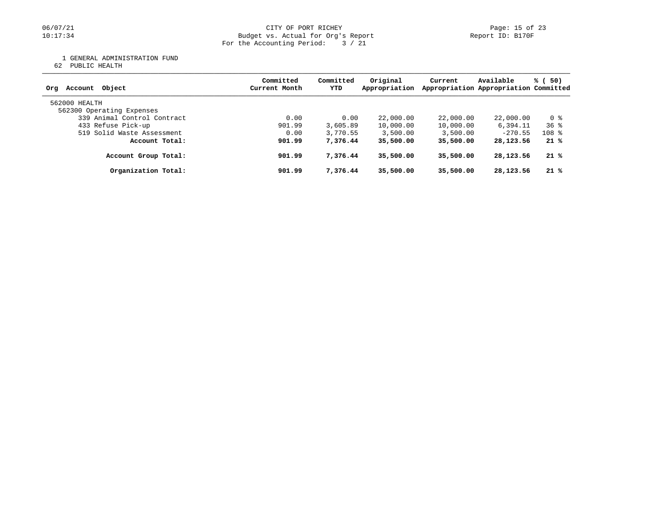1 GENERAL ADMINISTRATION FUND

62 PUBLIC HEALTH

| Account Object<br>Orq                      | Committed<br>Current Month | Committed<br>YTD | Original<br>Appropriation | Current   | Available<br>Appropriation Appropriation Committed | % (50)          |
|--------------------------------------------|----------------------------|------------------|---------------------------|-----------|----------------------------------------------------|-----------------|
| 562000 HEALTH<br>562300 Operating Expenses |                            |                  |                           |           |                                                    |                 |
| 339 Animal Control Contract                | 0.00                       | 0.00             | 22,000.00                 | 22,000.00 | 22,000.00                                          | 0 %             |
| 433 Refuse Pick-up                         | 901.99                     | 3,605.89         | 10,000.00                 | 10,000.00 | 6,394.11                                           | 36 <sup>8</sup> |
| 519 Solid Waste Assessment                 | 0.00                       | 3,770.55         | 3,500.00                  | 3,500.00  | $-270.55$                                          | $108$ %         |
| Account Total:                             | 901.99                     | 7,376.44         | 35,500.00                 | 35,500.00 | 28, 123. 56                                        | 21%             |
| Account Group Total:                       | 901.99                     | 7,376.44         | 35,500.00                 | 35,500.00 | 28, 123. 56                                        | 21%             |
| Organization Total:                        | 901.99                     | 7,376.44         | 35,500.00                 | 35,500.00 | 28, 123. 56                                        | 21%             |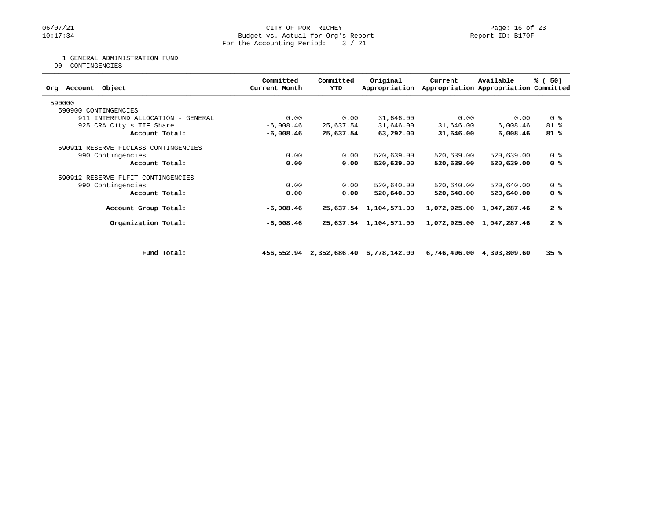### 06/07/21 CITY OF PORT RICHEY Page: 16 of 23<br>10:17:34 Budget vs. Actual for Org's Report Peport Peport ID: B170F Budget vs. Actual for Org's Report For the Accounting Period: 3 / 21

### 1 GENERAL ADMINISTRATION FUND

90 CONTINGENCIES

| Committed<br>Current Month | Committed<br><b>YTD</b>            | Original<br>Appropriation | Current                                                                                                                          | Available    | % (50)                                                                                                                                                                                       |
|----------------------------|------------------------------------|---------------------------|----------------------------------------------------------------------------------------------------------------------------------|--------------|----------------------------------------------------------------------------------------------------------------------------------------------------------------------------------------------|
|                            |                                    |                           |                                                                                                                                  |              |                                                                                                                                                                                              |
|                            |                                    |                           |                                                                                                                                  |              |                                                                                                                                                                                              |
| 0.00                       |                                    | 31,646.00                 |                                                                                                                                  | 0.00         | 0 <sup>8</sup>                                                                                                                                                                               |
| $-6,008.46$                |                                    | 31,646.00                 |                                                                                                                                  | 6,008.46     | 81 %                                                                                                                                                                                         |
| $-6,008.46$                |                                    | 63,292.00                 |                                                                                                                                  | 6,008.46     | 81%                                                                                                                                                                                          |
|                            |                                    |                           |                                                                                                                                  |              |                                                                                                                                                                                              |
| 0.00                       |                                    | 520,639.00                |                                                                                                                                  | 520,639.00   | 0 <sup>8</sup>                                                                                                                                                                               |
| 0.00                       |                                    | 520,639.00                |                                                                                                                                  | 520,639.00   | 0 %                                                                                                                                                                                          |
|                            |                                    |                           |                                                                                                                                  |              |                                                                                                                                                                                              |
| 0.00                       |                                    | 520,640.00                |                                                                                                                                  | 520,640.00   | 0 <sup>8</sup>                                                                                                                                                                               |
| 0.00                       |                                    | 520,640.00                |                                                                                                                                  | 520,640.00   | 0 %                                                                                                                                                                                          |
| $-6,008.46$                |                                    | 1,104,571.00              |                                                                                                                                  | 1,047,287.46 | 2%                                                                                                                                                                                           |
| $-6,008.46$                |                                    | 1,104,571.00              |                                                                                                                                  | 1,047,287.46 | 2%                                                                                                                                                                                           |
|                            |                                    |                           |                                                                                                                                  |              |                                                                                                                                                                                              |
|                            |                                    |                           |                                                                                                                                  |              | 35%                                                                                                                                                                                          |
|                            | 911 INTERFUND ALLOCATION - GENERAL |                           | 0.00<br>25,637.54<br>25,637.54<br>0.00<br>0.00<br>0.00<br>0.00<br>25,637.54<br>25,637.54<br>456,552.94 2,352,686.40 6,778,142.00 |              | Appropriation Appropriation Committed<br>0.00<br>31,646.00<br>31,646.00<br>520,639.00<br>520,639.00<br>520,640.00<br>520,640.00<br>1,072,925.00<br>1,072,925.00<br>6,746,496.00 4,393,809.60 |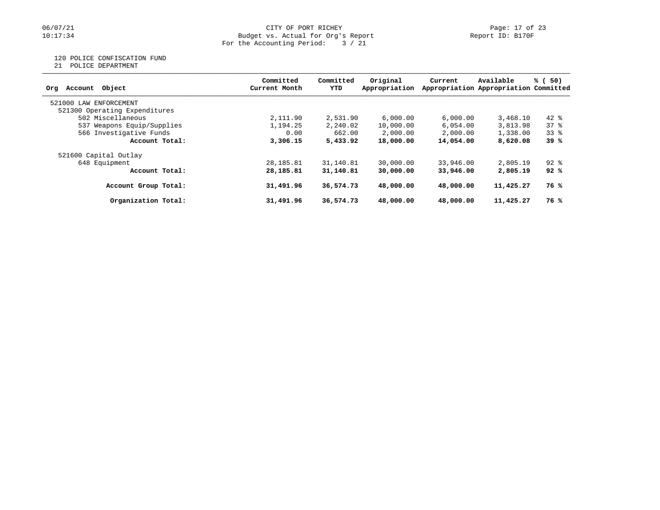### 06/07/21 CITY OF PORT RICHEY Page: 17 of 23<br>10:17:34 Budget vs. Actual for Org's Report Peport Peport ID: B170F Budget vs. Actual for Org's Report For the Accounting Period: 3 / 21

## 120 POLICE CONFISCATION FUND

21 POLICE DEPARTMENT

| Account Object<br>Orq         | Committed<br>Current Month | Committed<br>YTD | Original<br>Appropriation | Current   | Available<br>Appropriation Appropriation Committed | % (<br>50) |
|-------------------------------|----------------------------|------------------|---------------------------|-----------|----------------------------------------------------|------------|
| 521000 LAW<br>ENFORCEMENT     |                            |                  |                           |           |                                                    |            |
| 521300 Operating Expenditures |                            |                  |                           |           |                                                    |            |
| 502 Miscellaneous             | 2,111.90                   | 2,531.90         | 6,000.00                  | 6.000.00  | 3,468.10                                           | $42*$      |
| 537 Weapons Equip/Supplies    | 1,194.25                   | 2,240.02         | 10,000.00                 | 6,054.00  | 3,813.98                                           | 378        |
| 566 Investigative Funds       | 0.00                       | 662.00           | 2,000.00                  | 2,000.00  | 1,338.00                                           | $33*$      |
| Account Total:                | 3,306.15                   | 5,433.92         | 18,000.00                 | 14,054.00 | 8,620.08                                           | 39%        |
| 521600 Capital Outlay         |                            |                  |                           |           |                                                    |            |
| 648 Equipment                 | 28,185.81                  | 31,140.81        | 30,000.00                 | 33,946.00 | 2,805.19                                           | $92$ $%$   |
| Account Total:                | 28,185.81                  | 31,140.81        | 30,000.00                 | 33,946,00 | 2,805.19                                           | 92%        |
| Account Group Total:          | 31,491.96                  | 36,574.73        | 48,000.00                 | 48,000,00 | 11,425.27                                          | 76%        |
| Organization Total:           | 31,491.96                  | 36,574.73        | 48,000.00                 | 48,000.00 | 11,425.27                                          | 76 %       |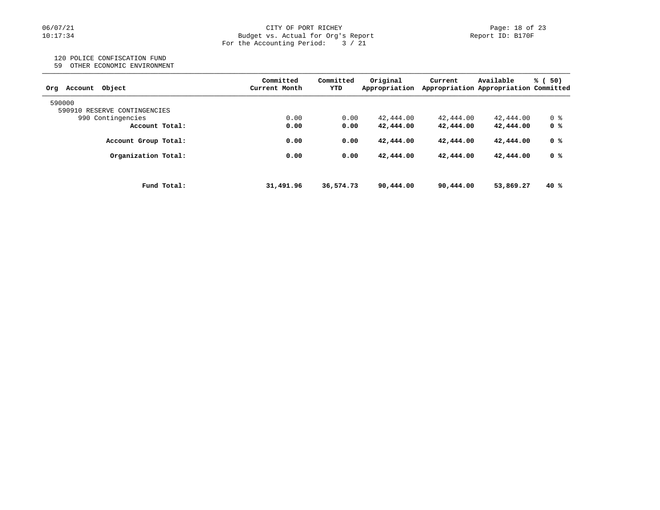#### 06/07/21 CITY OF PORT RICHEY Page: 18 of 23 10:17:34 Budget vs. Actual for Org's Report Report ID: B170F For the Accounting Period: 3 / 21

# 120 POLICE CONFISCATION FUND

59 OTHER ECONOMIC ENVIRONMENT

| Obiect<br>Account<br>Orq     |             | Committed<br>Current Month | Committed<br>YTD | Original<br>Appropriation | Current   | Available<br>Appropriation Appropriation Committed | % (<br>50) |
|------------------------------|-------------|----------------------------|------------------|---------------------------|-----------|----------------------------------------------------|------------|
| 590000                       |             |                            |                  |                           |           |                                                    |            |
| 590910 RESERVE CONTINGENCIES |             |                            |                  |                           |           |                                                    |            |
| 990 Contingencies            |             | 0.00                       | 0.00             | 42,444.00                 | 42,444.00 | 42,444.00                                          | 0 %        |
| Account Total:               |             | 0.00                       | 0.00             | 42,444.00                 | 42,444.00 | 42,444.00                                          | 0 %        |
| Account Group Total:         |             | 0.00                       | 0.00             | 42,444.00                 | 42,444.00 | 42,444.00                                          | 0 %        |
| Organization Total:          |             | 0.00                       | 0.00             | 42,444.00                 | 42,444.00 | 42,444.00                                          | 0 %        |
|                              |             |                            |                  |                           |           |                                                    | 40%        |
|                              | Fund Total: | 31,491.96                  | 36,574.73        | 90,444.00                 | 90,444.00 | 53,869.27                                          |            |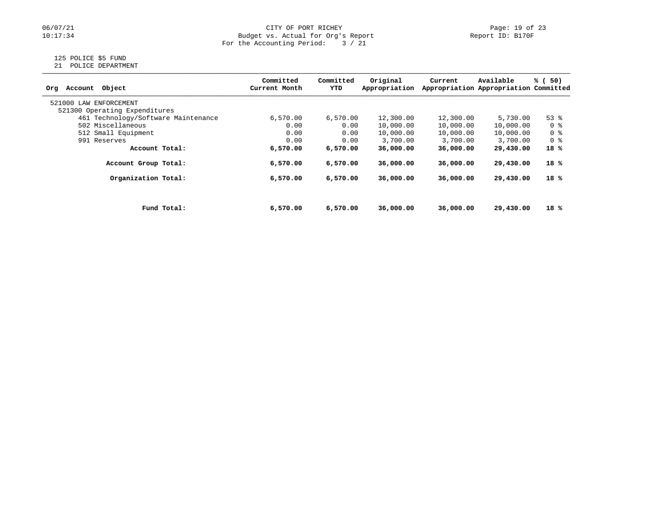## 06/07/21 CITY OF PORT RICHEY Page: 19 of 23<br>Dudget vs. Actual for Org's Report Page: 19 of 23<br>Report ID: B170F Budget vs. Actual for Org's Report For the Accounting Period: 3 / 21

# 125 POLICE \$5 FUND

21 POLICE DEPARTMENT

| Object<br>Account<br>Org            |             | Committed<br>Current Month | Committed<br>YTD | Original<br>Appropriation | Current   | Available<br>Appropriation Appropriation Committed | % (<br>50) |
|-------------------------------------|-------------|----------------------------|------------------|---------------------------|-----------|----------------------------------------------------|------------|
| 521000 LAW<br>ENFORCEMENT           |             |                            |                  |                           |           |                                                    |            |
| 521300 Operating Expenditures       |             |                            |                  |                           |           |                                                    |            |
| 461 Technology/Software Maintenance |             | 6,570.00                   | 6,570.00         | 12,300.00                 | 12,300.00 | 5,730.00                                           | $53$ $%$   |
| 502 Miscellaneous                   |             | 0.00                       | 0.00             | 10,000.00                 | 10,000.00 | 10,000.00                                          | 0 %        |
| 512 Small Equipment                 |             | 0.00                       | 0.00             | 10,000.00                 | 10,000.00 | 10,000.00                                          | 0 %        |
| 991 Reserves                        |             | 0.00                       | 0.00             | 3,700.00                  | 3,700.00  | 3,700.00                                           | 0 %        |
| Account Total:                      |             | 6,570.00                   | 6,570.00         | 36,000.00                 | 36,000.00 | 29,430.00                                          | $18*$      |
| Account Group Total:                |             | 6,570.00                   | 6,570.00         | 36,000.00                 | 36,000.00 | 29,430.00                                          | 18 %       |
| Organization Total:                 |             | 6,570.00                   | 6,570.00         | 36,000,00                 | 36,000,00 | 29,430.00                                          | 18 %       |
|                                     |             |                            |                  |                           |           |                                                    |            |
|                                     | Fund Total: | 6,570.00                   | 6,570.00         | 36,000.00                 | 36,000.00 | 29,430.00                                          | 18 %       |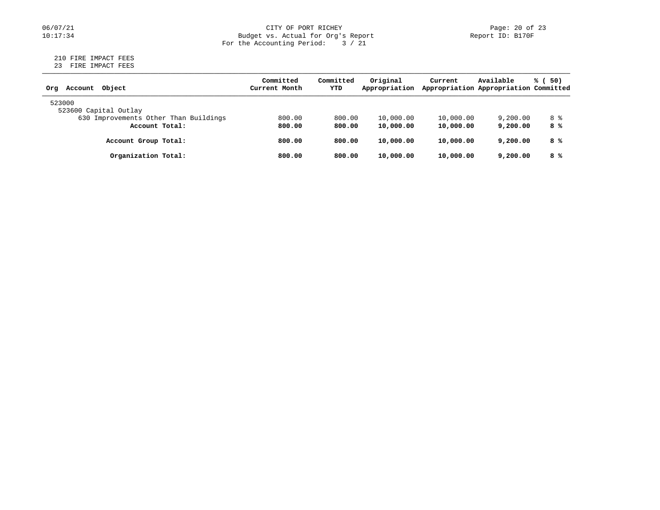#### 06/07/21 CITY OF PORT RICHEY Page: 20 of 23 10:17:34 Budget vs. Actual for Org's Report Report ID: B170F For the Accounting Period: 3 / 21

# 210 FIRE IMPACT FEES

23 FIRE IMPACT FEES

| Object<br>Account<br>Orq              | Committed<br>Current Month | Committed<br>YTD | Original<br>Appropriation | Current   | Available<br>Appropriation Appropriation Committed | % (<br>50) |
|---------------------------------------|----------------------------|------------------|---------------------------|-----------|----------------------------------------------------|------------|
| 523000                                |                            |                  |                           |           |                                                    |            |
| 523600 Capital Outlay                 |                            |                  |                           |           |                                                    |            |
| 630 Improvements Other Than Buildings | 800.00                     | 800.00           | 10,000.00                 | 10,000.00 | 9,200.00                                           | 8 %        |
| Account Total:                        | 800.00                     | 800.00           | 10,000.00                 | 10,000.00 | 9,200,00                                           | 8 %        |
| Account Group Total:                  | 800.00                     | 800.00           | 10,000.00                 | 10,000.00 | 9,200,00                                           | 8 %        |
| Organization Total:                   | 800.00                     | 800.00           | 10,000.00                 | 10,000.00 | 9,200,00                                           | 8 %        |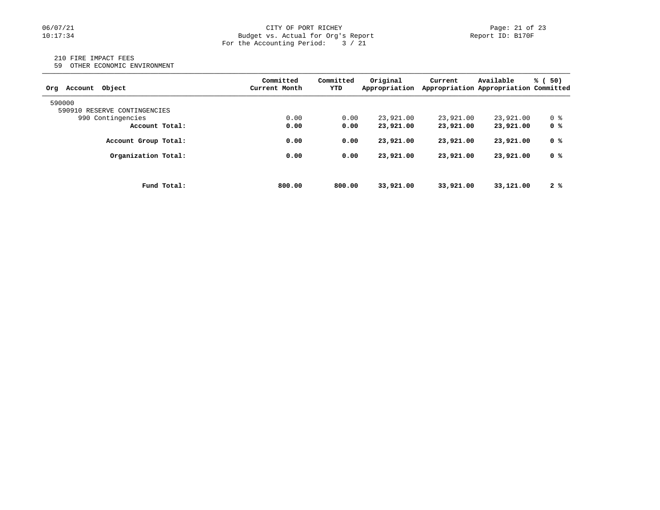### 06/07/21 CITY OF PORT RICHEY Page: 21 of 23<br>10:17:34 Budget vs. Actual for Org's Report Port Report ID: B170F Budget vs. Actual for Org's Report For the Accounting Period: 3 / 21

#### 210 FIRE IMPACT FEES

59 OTHER ECONOMIC ENVIRONMENT

| Obiect<br>Account<br>Orq     | Committed<br>Current Month | Committed<br>YTD | Original<br>Appropriation | Current   | Available<br>Appropriation Appropriation Committed | % (<br>50) |
|------------------------------|----------------------------|------------------|---------------------------|-----------|----------------------------------------------------|------------|
| 590000                       |                            |                  |                           |           |                                                    |            |
| 590910 RESERVE CONTINGENCIES |                            |                  |                           |           |                                                    |            |
| 990 Contingencies            | 0.00                       | 0.00             | 23,921.00                 | 23,921.00 | 23,921.00                                          | 0 %        |
| Account Total:               | 0.00                       | 0.00             | 23,921.00                 | 23,921.00 | 23,921.00                                          | 0 %        |
| Account Group Total:         | 0.00                       | 0.00             | 23,921.00                 | 23,921.00 | 23,921.00                                          | 0 %        |
| Organization Total:          | 0.00                       | 0.00             | 23,921.00                 | 23,921.00 | 23,921.00                                          | 0 %        |
|                              |                            |                  |                           |           |                                                    |            |
| Fund Total:                  | 800.00                     | 800.00           | 33,921.00                 | 33,921.00 | 33,121.00                                          | 2%         |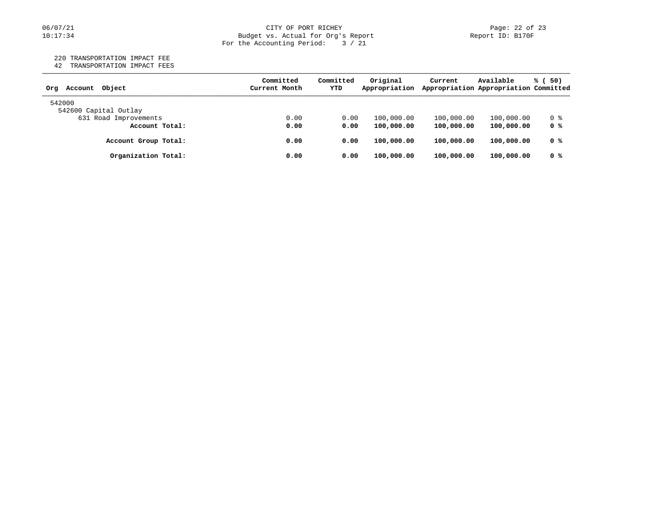#### 06/07/21 CITY OF PORT RICHEY Page: 22 of 23 10:17:34 Budget vs. Actual for Org's Report Report ID: B170F For the Accounting Period: 3 / 21

220 TRANSPORTATION IMPACT FEE

42 TRANSPORTATION IMPACT FEES

| Object<br>Account<br>Orq | Committed<br>Current Month | Committed<br>YTD | Original<br>Appropriation | Current    | Available<br>Appropriation Appropriation Committed | % (<br>50) |
|--------------------------|----------------------------|------------------|---------------------------|------------|----------------------------------------------------|------------|
| 542000                   |                            |                  |                           |            |                                                    |            |
| 542600 Capital Outlay    |                            |                  |                           |            |                                                    |            |
| 631 Road Improvements    | 0.00                       | 0.00             | 100,000.00                | 100,000.00 | 100,000.00                                         | 0 %        |
| Account Total:           | 0.00                       | 0.00             | 100,000.00                | 100,000.00 | 100,000.00                                         | 0 %        |
| Account Group Total:     | 0.00                       | 0.00             | 100,000.00                | 100,000.00 | 100,000.00                                         | 0 %        |
| Organization Total:      | 0.00                       | 0.00             | 100,000.00                | 100,000.00 | 100,000.00                                         | 0 %        |